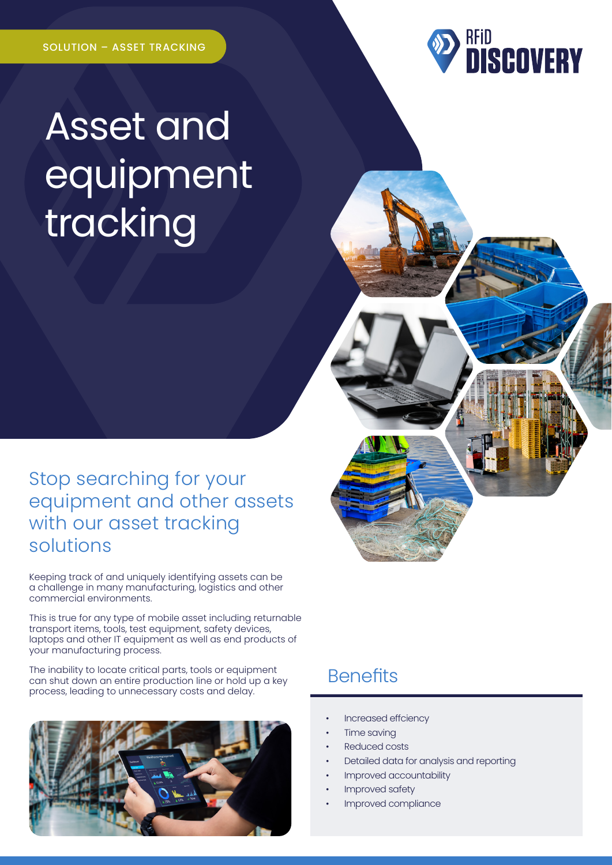

# Asset and equipment tracking

#### Stop searching for your equipment and other assets with our asset tracking solutions

Keeping track of and uniquely identifying assets can be a challenge in many manufacturing, logistics and other commercial environments.

This is true for any type of mobile asset including returnable transport items, tools, test equipment, safety devices, laptops and other IT equipment as well as end products of your manufacturing process.

The inability to locate critical parts, tools or equipment can shut down an entire production line or hold up a key process, leading to unnecessary costs and delay.



### **Benefits**

- Increased effciency
- **Time saving**
- Reduced costs
- Detailed data for analysis and reporting
- Improved accountability
- Improved safety
- Improved compliance